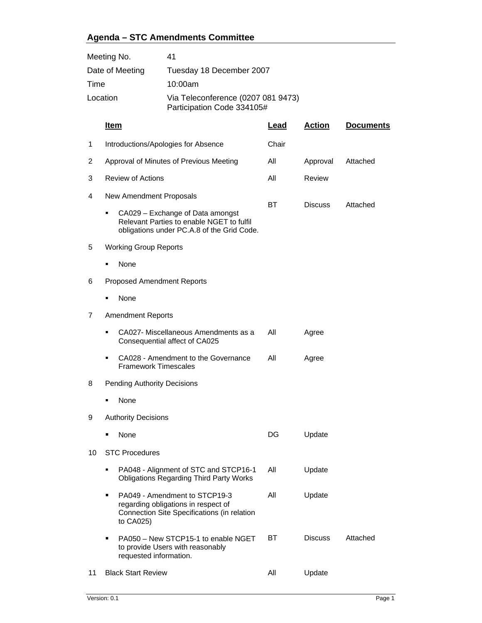## **Agenda – STC Amendments Committee**

| Meeting No.     | 41                                                               |
|-----------------|------------------------------------------------------------------|
| Date of Meeting | Tuesday 18 December 2007                                         |
| Time            | 10:00am                                                          |
| Location        | Via Teleconference (0207 081 9473)<br>Participation Code 334105# |

|    | Item                                                                                                                                  | Lead  | <b>Action</b>  | <b>Documents</b> |  |  |
|----|---------------------------------------------------------------------------------------------------------------------------------------|-------|----------------|------------------|--|--|
| 1  | Introductions/Apologies for Absence                                                                                                   | Chair |                |                  |  |  |
| 2  | Approval of Minutes of Previous Meeting                                                                                               | All   | Approval       | Attached         |  |  |
| 3  | <b>Review of Actions</b>                                                                                                              | All   | Review         |                  |  |  |
| 4  | New Amendment Proposals                                                                                                               | BТ    | <b>Discuss</b> | Attached         |  |  |
|    | CA029 - Exchange of Data amongst<br>٠<br>Relevant Parties to enable NGET to fulfil<br>obligations under PC.A.8 of the Grid Code.      |       |                |                  |  |  |
| 5  | <b>Working Group Reports</b>                                                                                                          |       |                |                  |  |  |
|    | None                                                                                                                                  |       |                |                  |  |  |
| 6  | <b>Proposed Amendment Reports</b>                                                                                                     |       |                |                  |  |  |
|    | None<br>■                                                                                                                             |       |                |                  |  |  |
| 7  | <b>Amendment Reports</b>                                                                                                              |       |                |                  |  |  |
|    | CA027- Miscellaneous Amendments as a<br>٠<br>Consequential affect of CA025                                                            | All   | Agree          |                  |  |  |
|    | CA028 - Amendment to the Governance<br><b>Framework Timescales</b>                                                                    | All   | Agree          |                  |  |  |
| 8  | <b>Pending Authority Decisions</b>                                                                                                    |       |                |                  |  |  |
|    | None                                                                                                                                  |       |                |                  |  |  |
| 9  | <b>Authority Decisions</b>                                                                                                            |       |                |                  |  |  |
|    | None                                                                                                                                  | DG    | Update         |                  |  |  |
| 10 | <b>STC Procedures</b>                                                                                                                 |       |                |                  |  |  |
|    | PA048 - Alignment of STC and STCP16-1<br><b>Obligations Regarding Third Party Works</b>                                               | All   | Update         |                  |  |  |
|    | PA049 - Amendment to STCP19-3<br>п<br>regarding obligations in respect of<br>Connection Site Specifications (in relation<br>to CA025) | All   | Update         |                  |  |  |
|    | PA050 - New STCP15-1 to enable NGET<br>п<br>to provide Users with reasonably<br>requested information.                                | BT    | <b>Discuss</b> | Attached         |  |  |